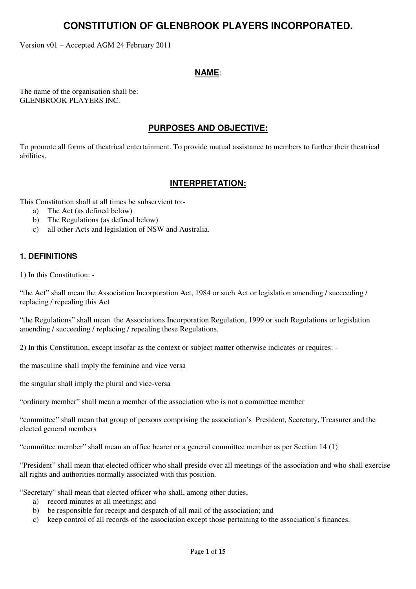# **CONSTITUTION OF GLENBROOK PLAYERS INCORPORATED.**

Version v01 – Accepted AGM 24 February 2011

# **NAME**:

The name of the organisation shall be: GLENBROOK PLAYERS INC.

# **PURPOSES AND OBJECTIVE:**

To promote all forms of theatrical entertainment. To provide mutual assistance to members to further their theatrical abilities.

# **INTERPRETATION:**

This Constitution shall at all times be subservient to:-

- a) The Act (as defined below)
- b) The Regulations (as defined below)
- c) all other Acts and legislation of NSW and Australia.

# **1. DEFINITIONS**

1) In this Constitution: -

"the Act" shall mean the Association Incorporation Act, 1984 or such Act or legislation amending / succeeding / replacing / repealing this Act

"the Regulations" shall mean the Associations Incorporation Regulation, 1999 or such Regulations or legislation amending / succeeding / replacing / repealing these Regulations.

2) In this Constitution, except insofar as the context or subject matter otherwise indicates or requires: -

the masculine shall imply the feminine and vice versa

the singular shall imply the plural and vice-versa

"ordinary member" shall mean a member of the association who is not a committee member

"committee" shall mean that group of persons comprising the association's President, Secretary, Treasurer and the elected general members

"committee member" shall mean an office bearer or a general committee member as per Section 14 (1)

"President" shall mean that elected officer who shall preside over all meetings of the association and who shall exercise all rights and authorities normally associated with this position.

"Secretary" shall mean that elected officer who shall, among other duties,

- a) record minutes at all meetings; and
- b) be responsible for receipt and despatch of all mail of the association; and
- c) keep control of all records of the association except those pertaining to the association's finances.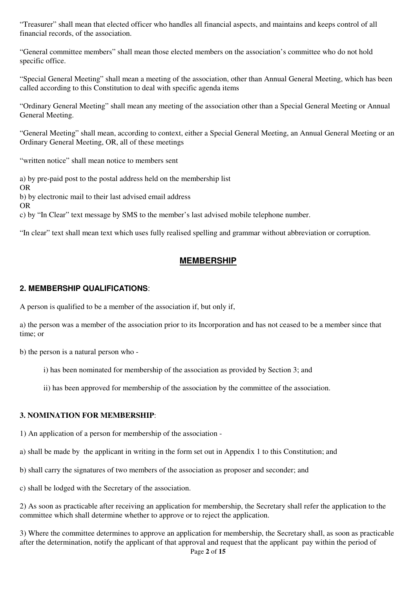"Treasurer" shall mean that elected officer who handles all financial aspects, and maintains and keeps control of all financial records, of the association.

"General committee members" shall mean those elected members on the association's committee who do not hold specific office.

"Special General Meeting" shall mean a meeting of the association, other than Annual General Meeting, which has been called according to this Constitution to deal with specific agenda items

"Ordinary General Meeting" shall mean any meeting of the association other than a Special General Meeting or Annual General Meeting.

"General Meeting" shall mean, according to context, either a Special General Meeting, an Annual General Meeting or an Ordinary General Meeting, OR, all of these meetings

"written notice" shall mean notice to members sent

a) by pre-paid post to the postal address held on the membership list

OR

b) by electronic mail to their last advised email address

OR

c) by "In Clear" text message by SMS to the member's last advised mobile telephone number.

"In clear" text shall mean text which uses fully realised spelling and grammar without abbreviation or corruption.

# **MEMBERSHIP**

#### **2. MEMBERSHIP QUALIFICATIONS**:

A person is qualified to be a member of the association if, but only if,

a) the person was a member of the association prior to its Incorporation and has not ceased to be a member since that time; or

b) the person is a natural person who -

i) has been nominated for membership of the association as provided by Section 3; and

ii) has been approved for membership of the association by the committee of the association.

#### **3. NOMINATION FOR MEMBERSHIP**:

1) An application of a person for membership of the association -

a) shall be made by the applicant in writing in the form set out in Appendix 1 to this Constitution; and

b) shall carry the signatures of two members of the association as proposer and seconder; and

c) shall be lodged with the Secretary of the association.

2) As soon as practicable after receiving an application for membership, the Secretary shall refer the application to the committee which shall determine whether to approve or to reject the application.

Page **2** of **15** 3) Where the committee determines to approve an application for membership, the Secretary shall, as soon as practicable after the determination, notify the applicant of that approval and request that the applicant pay within the period of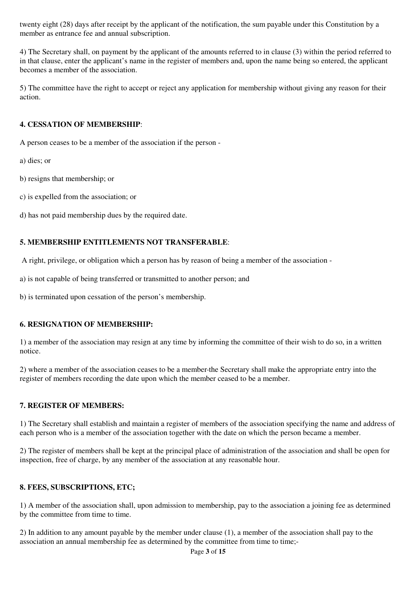twenty eight (28) days after receipt by the applicant of the notification, the sum payable under this Constitution by a member as entrance fee and annual subscription.

4) The Secretary shall, on payment by the applicant of the amounts referred to in clause (3) within the period referred to in that clause, enter the applicant's name in the register of members and, upon the name being so entered, the applicant becomes a member of the association.

5) The committee have the right to accept or reject any application for membership without giving any reason for their action.

## **4. CESSATION OF MEMBERSHIP**:

A person ceases to be a member of the association if the person -

a) dies; or

- b) resigns that membership; or
- c) is expelled from the association; or
- d) has not paid membership dues by the required date.

# **5. MEMBERSHIP ENTITLEMENTS NOT TRANSFERABLE**:

A right, privilege, or obligation which a person has by reason of being a member of the association -

a) is not capable of being transferred or transmitted to another person; and

b) is terminated upon cessation of the person's membership.

#### **6. RESIGNATION OF MEMBERSHIP:**

1) a member of the association may resign at any time by informing the committee of their wish to do so, in a written notice.

2) where a member of the association ceases to be a member the Secretary shall make the appropriate entry into the register of members recording the date upon which the member ceased to be a member.

#### **7. REGISTER OF MEMBERS:**

1) The Secretary shall establish and maintain a register of members of the association specifying the name and address of each person who is a member of the association together with the date on which the person became a member.

2) The register of members shall be kept at the principal place of administration of the association and shall be open for inspection, free of charge, by any member of the association at any reasonable hour.

#### **8. FEES, SUBSCRIPTIONS, ETC;**

1) A member of the association shall, upon admission to membership, pay to the association a joining fee as determined by the committee from time to time.

2) In addition to any amount payable by the member under clause (1), a member of the association shall pay to the association an annual membership fee as determined by the committee from time to time;-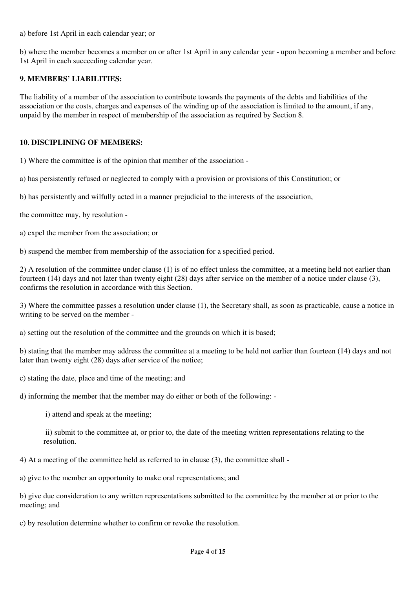a) before 1st April in each calendar year; or

b) where the member becomes a member on or after 1st April in any calendar year - upon becoming a member and before 1st April in each succeeding calendar year.

#### **9. MEMBERS' LIABILITIES:**

The liability of a member of the association to contribute towards the payments of the debts and liabilities of the association or the costs, charges and expenses of the winding up of the association is limited to the amount, if any, unpaid by the member in respect of membership of the association as required by Section 8.

#### **10. DISCIPLINING OF MEMBERS:**

1) Where the committee is of the opinion that member of the association -

a) has persistently refused or neglected to comply with a provision or provisions of this Constitution; or

b) has persistently and wilfully acted in a manner prejudicial to the interests of the association,

the committee may, by resolution -

a) expel the member from the association; or

b) suspend the member from membership of the association for a specified period.

2) A resolution of the committee under clause (1) is of no effect unless the committee, at a meeting held not earlier than fourteen (14) days and not later than twenty eight (28) days after service on the member of a notice under clause (3), confirms the resolution in accordance with this Section.

3) Where the committee passes a resolution under clause (1), the Secretary shall, as soon as practicable, cause a notice in writing to be served on the member -

a) setting out the resolution of the committee and the grounds on which it is based;

b) stating that the member may address the committee at a meeting to be held not earlier than fourteen (14) days and not later than twenty eight (28) days after service of the notice;

c) stating the date, place and time of the meeting; and

d) informing the member that the member may do either or both of the following: -

i) attend and speak at the meeting;

 ii) submit to the committee at, or prior to, the date of the meeting written representations relating to the resolution.

4) At a meeting of the committee held as referred to in clause (3), the committee shall -

a) give to the member an opportunity to make oral representations; and

b) give due consideration to any written representations submitted to the committee by the member at or prior to the meeting; and

c) by resolution determine whether to confirm or revoke the resolution.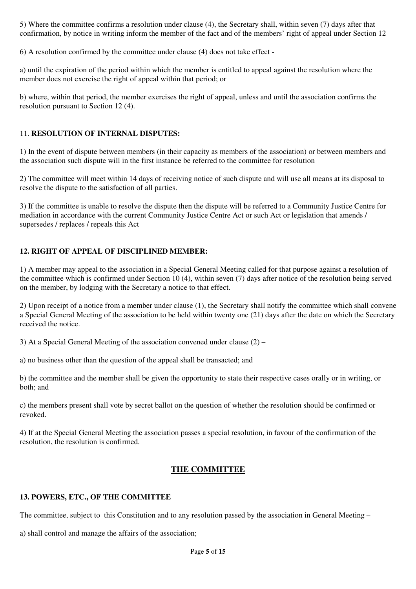5) Where the committee confirms a resolution under clause (4), the Secretary shall, within seven (7) days after that confirmation, by notice in writing inform the member of the fact and of the members' right of appeal under Section 12

6) A resolution confirmed by the committee under clause (4) does not take effect -

a) until the expiration of the period within which the member is entitled to appeal against the resolution where the member does not exercise the right of appeal within that period; or

b) where, within that period, the member exercises the right of appeal, unless and until the association confirms the resolution pursuant to Section 12 (4).

#### 11. **RESOLUTION OF INTERNAL DISPUTES:**

1) In the event of dispute between members (in their capacity as members of the association) or between members and the association such dispute will in the first instance be referred to the committee for resolution

2) The committee will meet within 14 days of receiving notice of such dispute and will use all means at its disposal to resolve the dispute to the satisfaction of all parties.

3) If the committee is unable to resolve the dispute then the dispute will be referred to a Community Justice Centre for mediation in accordance with the current Community Justice Centre Act or such Act or legislation that amends / supersedes / replaces / repeals this Act

#### **12. RIGHT OF APPEAL OF DISCIPLINED MEMBER:**

1) A member may appeal to the association in a Special General Meeting called for that purpose against a resolution of the committee which is confirmed under Section 10 (4), within seven (7) days after notice of the resolution being served on the member, by lodging with the Secretary a notice to that effect.

2) Upon receipt of a notice from a member under clause (1), the Secretary shall notify the committee which shall convene a Special General Meeting of the association to be held within twenty one (21) days after the date on which the Secretary received the notice.

3) At a Special General Meeting of the association convened under clause (2) –

a) no business other than the question of the appeal shall be transacted; and

b) the committee and the member shall be given the opportunity to state their respective cases orally or in writing, or both; and

c) the members present shall vote by secret ballot on the question of whether the resolution should be confirmed or revoked.

4) If at the Special General Meeting the association passes a special resolution, in favour of the confirmation of the resolution, the resolution is confirmed.

#### **THE COMMITTEE**

#### **13. POWERS, ETC., OF THE COMMITTEE**

The committee, subject to this Constitution and to any resolution passed by the association in General Meeting –

a) shall control and manage the affairs of the association;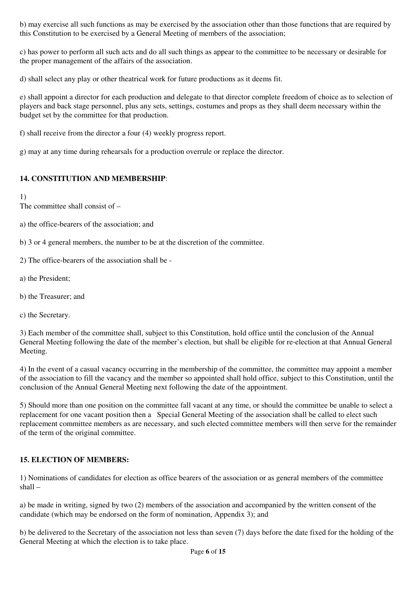b) may exercise all such functions as may be exercised by the association other than those functions that are required by this Constitution to be exercised by a General Meeting of members of the association;

c) has power to perform all such acts and do all such things as appear to the committee to be necessary or desirable for the proper management of the affairs of the association.

d) shall select any play or other theatrical work for future productions as it deems fit.

e) shall appoint a director for each production and delegate to that director complete freedom of choice as to selection of players and back stage personnel, plus any sets, settings, costumes and props as they shall deem necessary within the budget set by the committee for that production.

f) shall receive from the director a four (4) weekly progress report.

g) may at any time during rehearsals for a production overrule or replace the director.

# **14. CONSTITUTION AND MEMBERSHIP**:

1)

The committee shall consist of –

a) the office-bearers of the association; and

b) 3 or 4 general members, the number to be at the discretion of the committee.

- 2) The office-bearers of the association shall be -
- a) the President;
- b) the Treasurer; and
- c) the Secretary.

3) Each member of the committee shall, subject to this Constitution, hold office until the conclusion of the Annual General Meeting following the date of the member's election, but shall be eligible for re-election at that Annual General Meeting.

4) In the event of a casual vacancy occurring in the membership of the committee, the committee may appoint a member of the association to fill the vacancy and the member so appointed shall hold office, subject to this Constitution, until the conclusion of the Annual General Meeting next following the date of the appointment.

5) Should more than one position on the committee fall vacant at any time, or should the committee be unable to select a replacement for one vacant position then a Special General Meeting of the association shall be called to elect such replacement committee members as are necessary, and such elected committee members will then serve for the remainder of the term of the original committee.

#### **15. ELECTION OF MEMBERS:**

1) Nominations of candidates for election as office bearers of the association or as general members of the committee shall –

a) be made in writing, signed by two (2) members of the association and accompanied by the written consent of the candidate (which may be endorsed on the form of nomination, Appendix 3); and

b) be delivered to the Secretary of the association not less than seven (7) days before the date fixed for the holding of the General Meeting at which the election is to take place.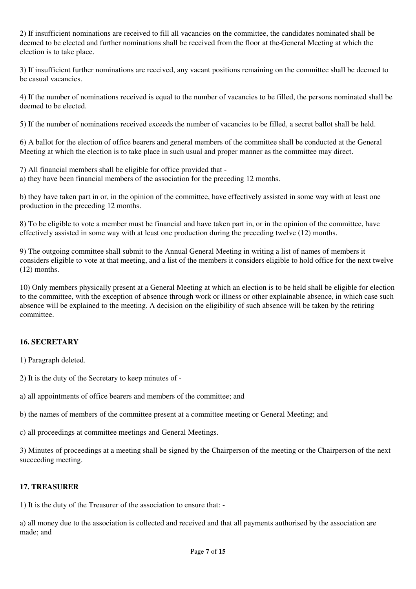2) If insufficient nominations are received to fill all vacancies on the committee, the candidates nominated shall be deemed to be elected and further nominations shall be received from the floor at the General Meeting at which the election is to take place.

3) If insufficient further nominations are received, any vacant positions remaining on the committee shall be deemed to be casual vacancies.

4) If the number of nominations received is equal to the number of vacancies to be filled, the persons nominated shall be deemed to be elected.

5) If the number of nominations received exceeds the number of vacancies to be filled, a secret ballot shall be held.

6) A ballot for the election of office bearers and general members of the committee shall be conducted at the General Meeting at which the election is to take place in such usual and proper manner as the committee may direct.

7) All financial members shall be eligible for office provided that -

a) they have been financial members of the association for the preceding 12 months.

b) they have taken part in or, in the opinion of the committee, have effectively assisted in some way with at least one production in the preceding 12 months.

8) To be eligible to vote a member must be financial and have taken part in, or in the opinion of the committee, have effectively assisted in some way with at least one production during the preceding twelve (12) months.

9) The outgoing committee shall submit to the Annual General Meeting in writing a list of names of members it considers eligible to vote at that meeting, and a list of the members it considers eligible to hold office for the next twelve (12) months.

10) Only members physically present at a General Meeting at which an election is to be held shall be eligible for election to the committee, with the exception of absence through work or illness or other explainable absence, in which case such absence will be explained to the meeting. A decision on the eligibility of such absence will be taken by the retiring committee.

#### **16. SECRETARY**

1) Paragraph deleted.

2) It is the duty of the Secretary to keep minutes of -

a) all appointments of office bearers and members of the committee; and

b) the names of members of the committee present at a committee meeting or General Meeting; and

c) all proceedings at committee meetings and General Meetings.

3) Minutes of proceedings at a meeting shall be signed by the Chairperson of the meeting or the Chairperson of the next succeeding meeting.

#### **17. TREASURER**

1) It is the duty of the Treasurer of the association to ensure that: -

a) all money due to the association is collected and received and that all payments authorised by the association are made; and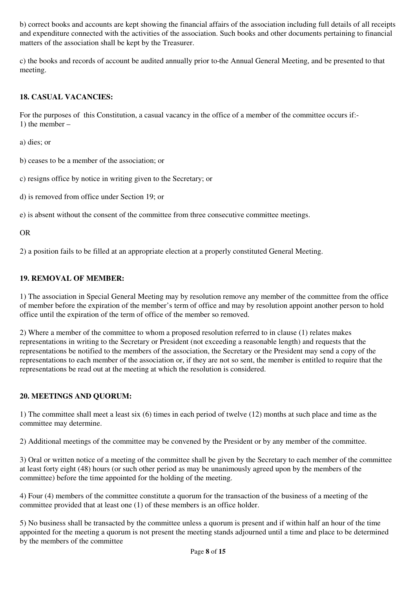b) correct books and accounts are kept showing the financial affairs of the association including full details of all receipts and expenditure connected with the activities of the association. Such books and other documents pertaining to financial matters of the association shall be kept by the Treasurer.

c) the books and records of account be audited annually prior to the Annual General Meeting, and be presented to that meeting.

# **18. CASUAL VACANCIES:**

For the purposes of this Constitution, a casual vacancy in the office of a member of the committee occurs if:- 1) the member –

a) dies; or

b) ceases to be a member of the association; or

c) resigns office by notice in writing given to the Secretary; or

d) is removed from office under Section 19; or

e) is absent without the consent of the committee from three consecutive committee meetings.

OR

2) a position fails to be filled at an appropriate election at a properly constituted General Meeting.

#### **19. REMOVAL OF MEMBER:**

1) The association in Special General Meeting may by resolution remove any member of the committee from the office of member before the expiration of the member's term of office and may by resolution appoint another person to hold office until the expiration of the term of office of the member so removed.

2) Where a member of the committee to whom a proposed resolution referred to in clause (1) relates makes representations in writing to the Secretary or President (not exceeding a reasonable length) and requests that the representations be notified to the members of the association, the Secretary or the President may send a copy of the representations to each member of the association or, if they are not so sent, the member is entitled to require that the representations be read out at the meeting at which the resolution is considered.

#### **20. MEETINGS AND QUORUM:**

1) The committee shall meet a least six (6) times in each period of twelve (12) months at such place and time as the committee may determine.

2) Additional meetings of the committee may be convened by the President or by any member of the committee.

3) Oral or written notice of a meeting of the committee shall be given by the Secretary to each member of the committee at least forty eight (48) hours (or such other period as may be unanimously agreed upon by the members of the committee) before the time appointed for the holding of the meeting.

4) Four (4) members of the committee constitute a quorum for the transaction of the business of a meeting of the committee provided that at least one (1) of these members is an office holder.

5) No business shall be transacted by the committee unless a quorum is present and if within half an hour of the time appointed for the meeting a quorum is not present the meeting stands adjourned until a time and place to be determined by the members of the committee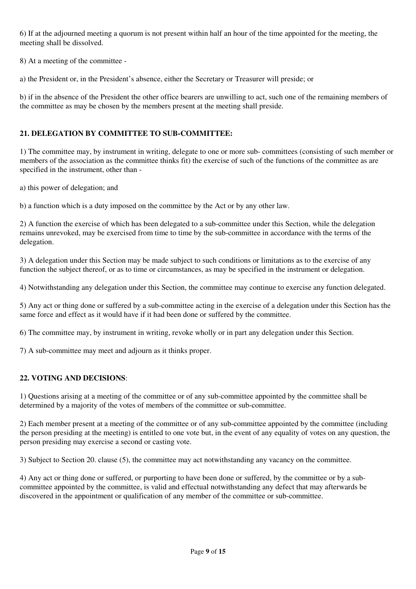6) If at the adjourned meeting a quorum is not present within half an hour of the time appointed for the meeting, the meeting shall be dissolved.

8) At a meeting of the committee -

a) the President or, in the President's absence, either the Secretary or Treasurer will preside; or

b) if in the absence of the President the other office bearers are unwilling to act, such one of the remaining members of the committee as may be chosen by the members present at the meeting shall preside.

## **21. DELEGATION BY COMMITTEE TO SUB-COMMITTEE:**

1) The committee may, by instrument in writing, delegate to one or more sub- committees (consisting of such member or members of the association as the committee thinks fit) the exercise of such of the functions of the committee as are specified in the instrument, other than -

a) this power of delegation; and

b) a function which is a duty imposed on the committee by the Act or by any other law.

2) A function the exercise of which has been delegated to a sub-committee under this Section, while the delegation remains unrevoked, may be exercised from time to time by the sub-committee in accordance with the terms of the delegation.

3) A delegation under this Section may be made subject to such conditions or limitations as to the exercise of any function the subject thereof, or as to time or circumstances, as may be specified in the instrument or delegation.

4) Notwithstanding any delegation under this Section, the committee may continue to exercise any function delegated.

5) Any act or thing done or suffered by a sub-committee acting in the exercise of a delegation under this Section has the same force and effect as it would have if it had been done or suffered by the committee.

6) The committee may, by instrument in writing, revoke wholly or in part any delegation under this Section.

7) A sub-committee may meet and adjourn as it thinks proper.

#### **22. VOTING AND DECISIONS**:

1) Questions arising at a meeting of the committee or of any sub-committee appointed by the committee shall be determined by a majority of the votes of members of the committee or sub-committee.

2) Each member present at a meeting of the committee or of any sub-committee appointed by the committee (including the person presiding at the meeting) is entitled to one vote but, in the event of any equality of votes on any question, the person presiding may exercise a second or casting vote.

3) Subject to Section 20. clause (5), the committee may act notwithstanding any vacancy on the committee.

4) Any act or thing done or suffered, or purporting to have been done or suffered, by the committee or by a subcommittee appointed by the committee, is valid and effectual notwithstanding any defect that may afterwards be discovered in the appointment or qualification of any member of the committee or sub-committee.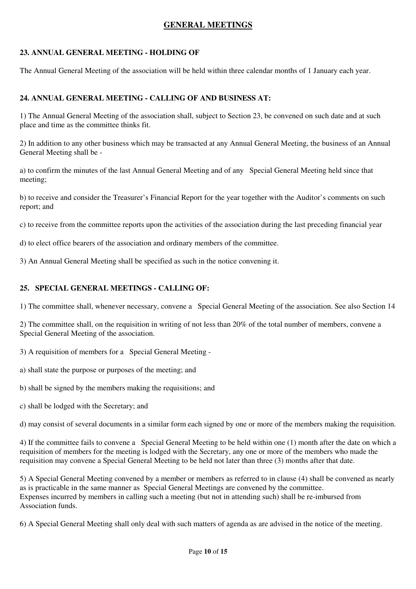# **GENERAL MEETINGS**

#### **23. ANNUAL GENERAL MEETING - HOLDING OF**

The Annual General Meeting of the association will be held within three calendar months of 1 January each year.

#### **24. ANNUAL GENERAL MEETING - CALLING OF AND BUSINESS AT:**

1) The Annual General Meeting of the association shall, subject to Section 23, be convened on such date and at such place and time as the committee thinks fit.

2) In addition to any other business which may be transacted at any Annual General Meeting, the business of an Annual General Meeting shall be -

a) to confirm the minutes of the last Annual General Meeting and of any Special General Meeting held since that meeting;

b) to receive and consider the Treasurer's Financial Report for the year together with the Auditor's comments on such report; and

c) to receive from the committee reports upon the activities of the association during the last preceding financial year

d) to elect office bearers of the association and ordinary members of the committee.

3) An Annual General Meeting shall be specified as such in the notice convening it.

#### **25. SPECIAL GENERAL MEETINGS - CALLING OF:**

1) The committee shall, whenever necessary, convene a Special General Meeting of the association. See also Section 14

2) The committee shall, on the requisition in writing of not less than 20% of the total number of members, convene a Special General Meeting of the association.

3) A requisition of members for a Special General Meeting -

a) shall state the purpose or purposes of the meeting; and

b) shall be signed by the members making the requisitions; and

c) shall be lodged with the Secretary; and

d) may consist of several documents in a similar form each signed by one or more of the members making the requisition.

4) If the committee fails to convene a Special General Meeting to be held within one (1) month after the date on which a requisition of members for the meeting is lodged with the Secretary, any one or more of the members who made the requisition may convene a Special General Meeting to be held not later than three (3) months after that date.

5) A Special General Meeting convened by a member or members as referred to in clause (4) shall be convened as nearly as is practicable in the same manner as Special General Meetings are convened by the committee. Expenses incurred by members in calling such a meeting (but not in attending such) shall be re-imbursed from Association funds.

6) A Special General Meeting shall only deal with such matters of agenda as are advised in the notice of the meeting.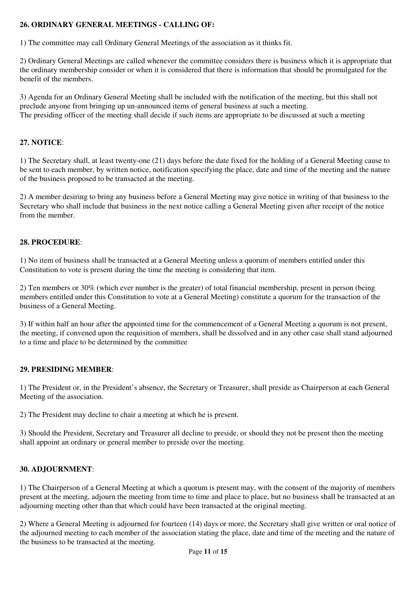# **26. ORDINARY GENERAL MEETINGS - CALLING OF:**

1) The committee may call Ordinary General Meetings of the association as it thinks fit.

2) Ordinary General Meetings are called whenever the committee considers there is business which it is appropriate that the ordinary membership consider or when it is considered that there is information that should be promulgated for the benefit of the members.

3) Agenda for an Ordinary General Meeting shall be included with the notification of the meeting, but this shall not preclude anyone from bringing up un-announced items of general business at such a meeting. The presiding officer of the meeting shall decide if such items are appropriate to be discussed at such a meeting

# **27. NOTICE**:

1) The Secretary shall, at least twenty-one (21) days before the date fixed for the holding of a General Meeting cause to be sent to each member, by written notice, notification specifying the place, date and time of the meeting and the nature of the business proposed to be transacted at the meeting.

2) A member desiring to bring any business before a General Meeting may give notice in writing of that business to the Secretary who shall include that business in the next notice calling a General Meeting given after receipt of the notice from the member.

#### **28. PROCEDURE**:

1) No item of business shall be transacted at a General Meeting unless a quorum of members entitled under this Constitution to vote is present during the time the meeting is considering that item.

2) Ten members or 30% (which ever number is the greater) of total financial membership, present in person (being members entitled under this Constitution to vote at a General Meeting) constitute a quorum for the transaction of the business of a General Meeting.

3) If within half an hour after the appointed time for the commencement of a General Meeting a quorum is not present, the meeting, if convened upon the requisition of members, shall be dissolved and in any other case shall stand adjourned to a time and place to be determined by the committee

#### **29. PRESIDING MEMBER**:

1) The President or, in the President's absence, the Secretary or Treasurer, shall preside as Chairperson at each General Meeting of the association.

2) The President may decline to chair a meeting at which he is present.

3) Should the President, Secretary and Treasurer all decline to preside, or should they not be present then the meeting shall appoint an ordinary or general member to preside over the meeting.

#### **30. ADJOURNMENT**:

1) The Chairperson of a General Meeting at which a quorum is present may, with the consent of the majority of members present at the meeting, adjourn the meeting from time to time and place to place, but no business shall be transacted at an adjourning meeting other than that which could have been transacted at the original meeting.

2) Where a General Meeting is adjourned for fourteen (14) days or more, the Secretary shall give written or oral notice of the adjourned meeting to each member of the association stating the place, date and time of the meeting and the nature of the business to be transacted at the meeting.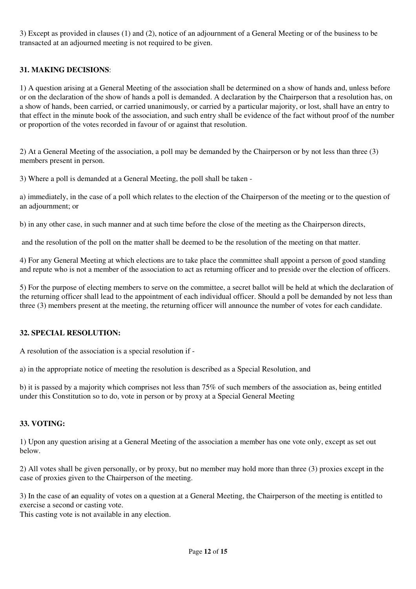3) Except as provided in clauses (1) and (2), notice of an adjournment of a General Meeting or of the business to be transacted at an adjourned meeting is not required to be given.

# **31. MAKING DECISIONS**:

1) A question arising at a General Meeting of the association shall be determined on a show of hands and, unless before or on the declaration of the show of hands a poll is demanded. A declaration by the Chairperson that a resolution has, on a show of hands, been carried, or carried unanimously, or carried by a particular majority, or lost, shall have an entry to that effect in the minute book of the association, and such entry shall be evidence of the fact without proof of the number or proportion of the votes recorded in favour of or against that resolution.

2) At a General Meeting of the association, a poll may be demanded by the Chairperson or by not less than three (3) members present in person.

3) Where a poll is demanded at a General Meeting, the poll shall be taken -

a) immediately, in the case of a poll which relates to the election of the Chairperson of the meeting or to the question of an adjournment; or

b) in any other case, in such manner and at such time before the close of the meeting as the Chairperson directs,

and the resolution of the poll on the matter shall be deemed to be the resolution of the meeting on that matter.

4) For any General Meeting at which elections are to take place the committee shall appoint a person of good standing and repute who is not a member of the association to act as returning officer and to preside over the election of officers.

5) For the purpose of electing members to serve on the committee, a secret ballot will be held at which the declaration of the returning officer shall lead to the appointment of each individual officer. Should a poll be demanded by not less than three (3) members present at the meeting, the returning officer will announce the number of votes for each candidate.

#### **32. SPECIAL RESOLUTION:**

A resolution of the association is a special resolution if -

a) in the appropriate notice of meeting the resolution is described as a Special Resolution, and

b) it is passed by a majority which comprises not less than 75% of such members of the association as, being entitled under this Constitution so to do, vote in person or by proxy at a Special General Meeting

#### **33. VOTING:**

1) Upon any question arising at a General Meeting of the association a member has one vote only, except as set out below.

2) All votes shall be given personally, or by proxy, but no member may hold more than three (3) proxies except in the case of proxies given to the Chairperson of the meeting.

3) In the case of an equality of votes on a question at a General Meeting, the Chairperson of the meeting is entitled to exercise a second or casting vote.

This casting vote is not available in any election.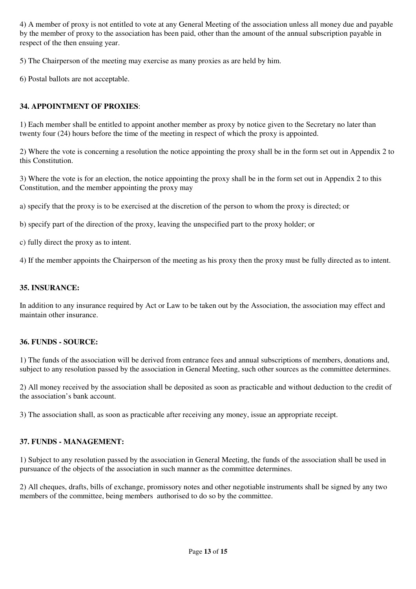4) A member of proxy is not entitled to vote at any General Meeting of the association unless all money due and payable by the member of proxy to the association has been paid, other than the amount of the annual subscription payable in respect of the then ensuing year.

5) The Chairperson of the meeting may exercise as many proxies as are held by him.

6) Postal ballots are not acceptable.

## **34. APPOINTMENT OF PROXIES**:

1) Each member shall be entitled to appoint another member as proxy by notice given to the Secretary no later than twenty four (24) hours before the time of the meeting in respect of which the proxy is appointed.

2) Where the vote is concerning a resolution the notice appointing the proxy shall be in the form set out in Appendix 2 to this Constitution.

3) Where the vote is for an election, the notice appointing the proxy shall be in the form set out in Appendix 2 to this Constitution, and the member appointing the proxy may

a) specify that the proxy is to be exercised at the discretion of the person to whom the proxy is directed; or

b) specify part of the direction of the proxy, leaving the unspecified part to the proxy holder; or

c) fully direct the proxy as to intent.

4) If the member appoints the Chairperson of the meeting as his proxy then the proxy must be fully directed as to intent.

#### **35. INSURANCE:**

In addition to any insurance required by Act or Law to be taken out by the Association, the association may effect and maintain other insurance.

#### **36. FUNDS - SOURCE:**

1) The funds of the association will be derived from entrance fees and annual subscriptions of members, donations and, subject to any resolution passed by the association in General Meeting, such other sources as the committee determines.

2) All money received by the association shall be deposited as soon as practicable and without deduction to the credit of the association's bank account.

3) The association shall, as soon as practicable after receiving any money, issue an appropriate receipt.

#### **37. FUNDS - MANAGEMENT:**

1) Subject to any resolution passed by the association in General Meeting, the funds of the association shall be used in pursuance of the objects of the association in such manner as the committee determines.

2) All cheques, drafts, bills of exchange, promissory notes and other negotiable instruments shall be signed by any two members of the committee, being members authorised to do so by the committee.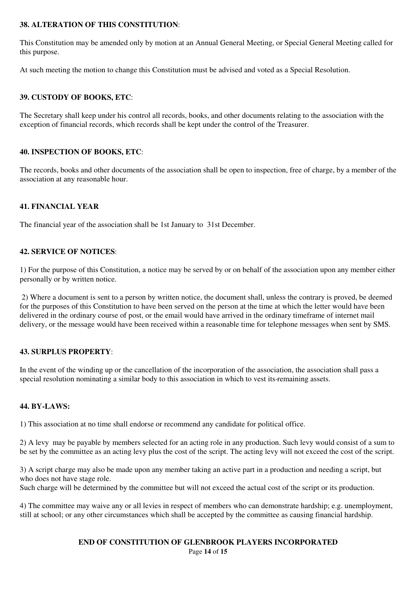## **38. ALTERATION OF THIS CONSTITUTION**:

This Constitution may be amended only by motion at an Annual General Meeting, or Special General Meeting called for this purpose.

At such meeting the motion to change this Constitution must be advised and voted as a Special Resolution.

#### **39. CUSTODY OF BOOKS, ETC**:

The Secretary shall keep under his control all records, books, and other documents relating to the association with the exception of financial records, which records shall be kept under the control of the Treasurer.

#### **40. INSPECTION OF BOOKS, ETC**:

The records, books and other documents of the association shall be open to inspection, free of charge, by a member of the association at any reasonable hour.

#### **41. FINANCIAL YEAR**

The financial year of the association shall be 1st January to 31st December.

#### **42. SERVICE OF NOTICES**:

1) For the purpose of this Constitution, a notice may be served by or on behalf of the association upon any member either personally or by written notice.

 2) Where a document is sent to a person by written notice, the document shall, unless the contrary is proved, be deemed for the purposes of this Constitution to have been served on the person at the time at which the letter would have been delivered in the ordinary course of post, or the email would have arrived in the ordinary timeframe of internet mail delivery, or the message would have been received within a reasonable time for telephone messages when sent by SMS.

#### **43. SURPLUS PROPERTY**:

In the event of the winding up or the cancellation of the incorporation of the association, the association shall pass a special resolution nominating a similar body to this association in which to vest its remaining assets.

#### **44. BY-LAWS:**

1) This association at no time shall endorse or recommend any candidate for political office.

2) A levy may be payable by members selected for an acting role in any production. Such levy would consist of a sum to be set by the committee as an acting levy plus the cost of the script. The acting levy will not exceed the cost of the script.

3) A script charge may also be made upon any member taking an active part in a production and needing a script, but who does not have stage role.

Such charge will be determined by the committee but will not exceed the actual cost of the script or its production.

4) The committee may waive any or all levies in respect of members who can demonstrate hardship; e.g. unemployment, still at school; or any other circumstances which shall be accepted by the committee as causing financial hardship.

> Page **14** of **15 END OF CONSTITUTION OF GLENBROOK PLAYERS INCORPORATED**